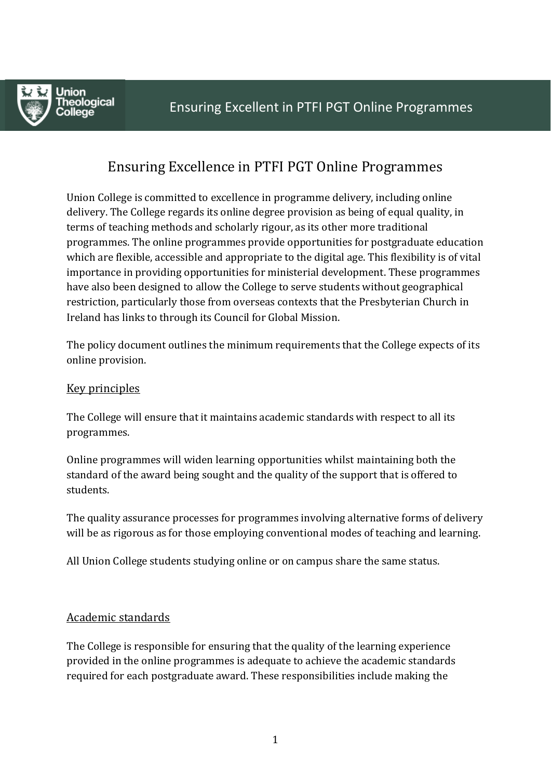

# Ensuring Excellence in PTFI PGT Online Programmes

Union College is committed to excellence in programme delivery, including online delivery. The College regards its online degree provision as being of equal quality, in terms of teaching methods and scholarly rigour, as its other more traditional programmes. The online programmes provide opportunities for postgraduate education which are flexible, accessible and appropriate to the digital age. This flexibility is of vital importance in providing opportunities for ministerial development. These programmes have also been designed to allow the College to serve students without geographical restriction, particularly those from overseas contexts that the Presbyterian Church in Ireland has links to through its Council for Global Mission.

The policy document outlines the minimum requirements that the College expects of its online provision.

### Key principles

The College will ensure that it maintains academic standards with respect to all its programmes.

Online programmes will widen learning opportunities whilst maintaining both the standard of the award being sought and the quality of the support that is offered to students.

The quality assurance processes for programmes involving alternative forms of delivery will be as rigorous as for those employing conventional modes of teaching and learning.

All Union College students studying online or on campus share the same status.

#### Academic standards

The College is responsible for ensuring that the quality of the learning experience provided in the online programmes is adequate to achieve the academic standards required for each postgraduate award. These responsibilities include making the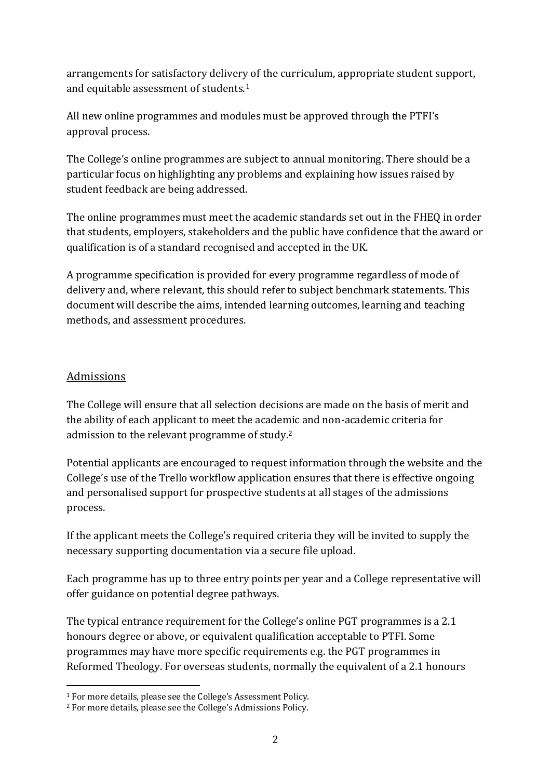arrangements for satisfactory delivery of the curriculum, appropriate student support, and equitable assessment of students.<sup>1</sup>

All new online programmes and modules must be approved through the PTFI's approval process.

The College's online programmes are subject to annual monitoring. There should be a particular focus on highlighting any problems and explaining how issues raised by student feedback are being addressed.

The online programmes must meet the academic standards set out in the FHEQ in order that students, employers, stakeholders and the public have confidence that the award or qualification is of a standard recognised and accepted in the UK.

A programme specification is provided for every programme regardless of mode of delivery and, where relevant, this should refer to subject benchmark statements. This document will describe the aims, intended learning outcomes, learning and teaching methods, and assessment procedures.

## Admissions

 $\overline{a}$ 

The College will ensure that all selection decisions are made on the basis of merit and the ability of each applicant to meet the academic and non-academic criteria for admission to the relevant programme of study.<sup>2</sup>

Potential applicants are encouraged to request information through the website and the College's use of the Trello workflow application ensures that there is effective ongoing and personalised support for prospective students at all stages of the admissions process.

If the applicant meets the College's required criteria they will be invited to supply the necessary supporting documentation via a secure file upload.

Each programme has up to three entry points per year and a College representative will offer guidance on potential degree pathways.

The typical entrance requirement for the College's online PGT programmes is a 2.1 honours degree or above, or equivalent qualification acceptable to PTFI. Some programmes may have more specific requirements e.g. the PGT programmes in Reformed Theology. For overseas students, normally the equivalent of a 2.1 honours

<sup>1</sup> For more details, please see the College's Assessment Policy.

<sup>2</sup> For more details, please see the College's Admissions Policy.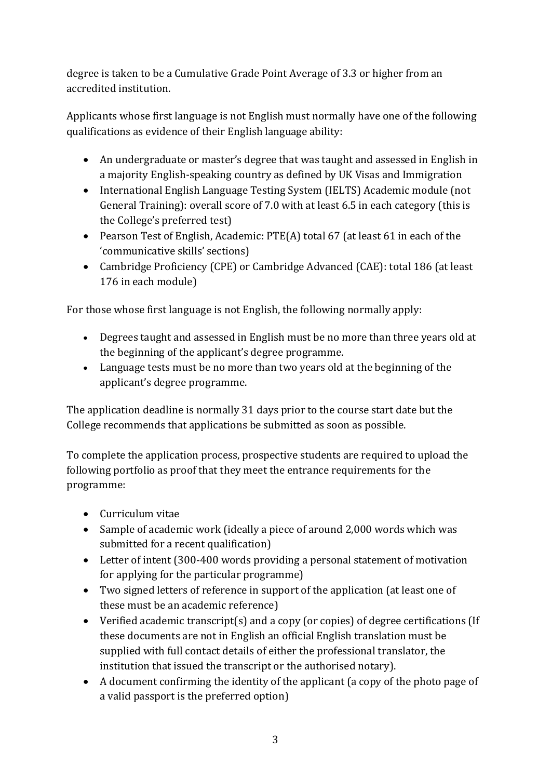degree is taken to be a Cumulative Grade Point Average of 3.3 or higher from an accredited institution.

Applicants whose first language is not English must normally have one of the following qualifications as evidence of their English language ability:

- An undergraduate or master's degree that was taught and assessed in English in a majority English-speaking country as defined by UK Visas and Immigration
- International English Language Testing System (IELTS) Academic module (not General Training): overall score of 7.0 with at least 6.5 in each category (this is the College's preferred test)
- Pearson Test of English, Academic: PTE(A) total 67 (at least 61 in each of the 'communicative skills' sections)
- Cambridge Proficiency (CPE) or Cambridge Advanced (CAE): total 186 (at least 176 in each module)

For those whose first language is not English, the following normally apply:

- Degrees taught and assessed in English must be no more than three years old at the beginning of the applicant's degree programme.
- Language tests must be no more than two years old at the beginning of the applicant's degree programme.

The application deadline is normally 31 days prior to the course start date but the College recommends that applications be submitted as soon as possible.

To complete the application process, prospective students are required to upload the following portfolio as proof that they meet the entrance requirements for the programme:

- Curriculum vitae
- Sample of academic work (ideally a piece of around 2,000 words which was submitted for a recent qualification)
- Letter of intent (300-400 words providing a personal statement of motivation for applying for the particular programme)
- Two signed letters of reference in support of the application (at least one of these must be an academic reference)
- Verified academic transcript(s) and a copy (or copies) of degree certifications (If these documents are not in English an official English translation must be supplied with full contact details of either the professional translator, the institution that issued the transcript or the authorised notary).
- A document confirming the identity of the applicant (a copy of the photo page of a valid passport is the preferred option)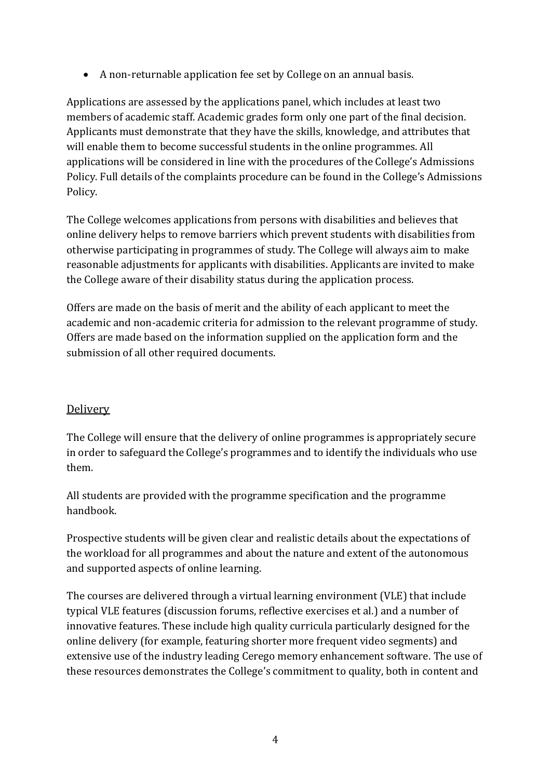A non-returnable application fee set by College on an annual basis.

Applications are assessed by the applications panel, which includes at least two members of academic staff. Academic grades form only one part of the final decision. Applicants must demonstrate that they have the skills, knowledge, and attributes that will enable them to become successful students in the online programmes. All applications will be considered in line with the procedures of the College's Admissions Policy. Full details of the complaints procedure can be found in the College's Admissions Policy.

The College welcomes applications from persons with disabilities and believes that online delivery helps to remove barriers which prevent students with disabilities from otherwise participating in programmes of study. The College will always aim to make reasonable adjustments for applicants with disabilities. Applicants are invited to make the College aware of their disability status during the application process.

Offers are made on the basis of merit and the ability of each applicant to meet the academic and non-academic criteria for admission to the relevant programme of study. Offers are made based on the information supplied on the application form and the submission of all other required documents.

# **Delivery**

The College will ensure that the delivery of online programmes is appropriately secure in order to safeguard the College's programmes and to identify the individuals who use them.

All students are provided with the programme specification and the programme handbook.

Prospective students will be given clear and realistic details about the expectations of the workload for all programmes and about the nature and extent of the autonomous and supported aspects of online learning.

The courses are delivered through a virtual learning environment (VLE) that include typical VLE features (discussion forums, reflective exercises et al.) and a number of innovative features. These include high quality curricula particularly designed for the online delivery (for example, featuring shorter more frequent video segments) and extensive use of the industry leading Cerego memory enhancement software. The use of these resources demonstrates the College's commitment to quality, both in content and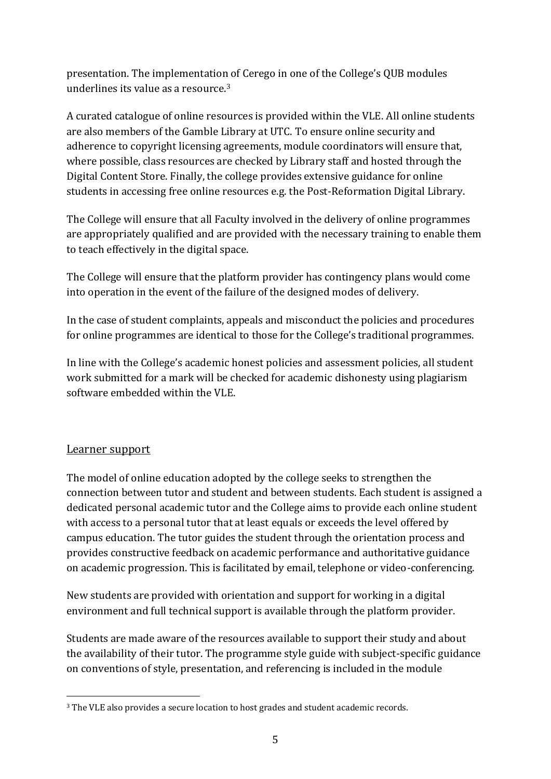presentation. The implementation of Cerego in one of the College's QUB modules underlines its value as a resource.<sup>3</sup>

A curated catalogue of online resources is provided within the VLE. All online students are also members of the Gamble Library at UTC. To ensure online security and adherence to copyright licensing agreements, module coordinators will ensure that, where possible, class resources are checked by Library staff and hosted through the Digital Content Store. Finally, the college provides extensive guidance for online students in accessing free online resources e.g. the Post-Reformation Digital Library.

The College will ensure that all Faculty involved in the delivery of online programmes are appropriately qualified and are provided with the necessary training to enable them to teach effectively in the digital space.

The College will ensure that the platform provider has contingency plans would come into operation in the event of the failure of the designed modes of delivery.

In the case of student complaints, appeals and misconduct the policies and procedures for online programmes are identical to those for the College's traditional programmes.

In line with the College's academic honest policies and assessment policies, all student work submitted for a mark will be checked for academic dishonesty using plagiarism software embedded within the VLE.

# Learner support

The model of online education adopted by the college seeks to strengthen the connection between tutor and student and between students. Each student is assigned a dedicated personal academic tutor and the College aims to provide each online student with access to a personal tutor that at least equals or exceeds the level offered by campus education. The tutor guides the student through the orientation process and provides constructive feedback on academic performance and authoritative guidance on academic progression. This is facilitated by email, telephone or video-conferencing.

New students are provided with orientation and support for working in a digital environment and full technical support is available through the platform provider.

Students are made aware of the resources available to support their study and about the availability of their tutor. The programme style guide with subject-specific guidance on conventions of style, presentation, and referencing is included in the module

 $\overline{a}$ <sup>3</sup> The VLE also provides a secure location to host grades and student academic records.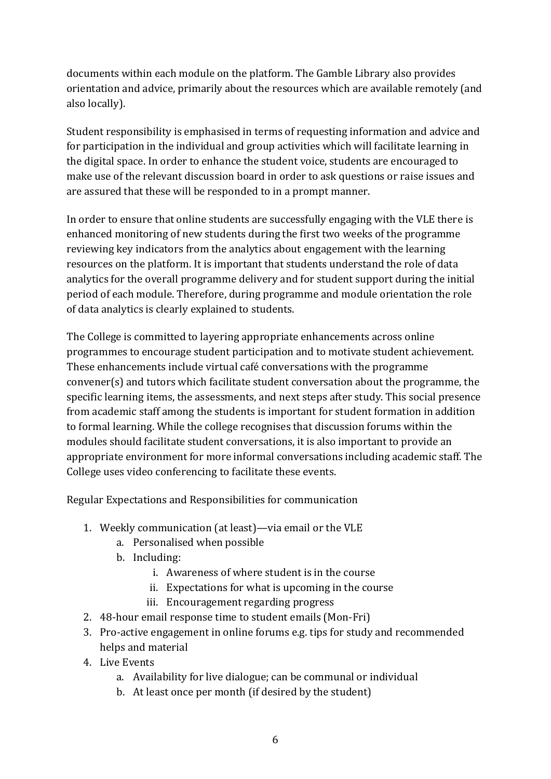documents within each module on the platform. The Gamble Library also provides orientation and advice, primarily about the resources which are available remotely (and also locally).

Student responsibility is emphasised in terms of requesting information and advice and for participation in the individual and group activities which will facilitate learning in the digital space. In order to enhance the student voice, students are encouraged to make use of the relevant discussion board in order to ask questions or raise issues and are assured that these will be responded to in a prompt manner.

In order to ensure that online students are successfully engaging with the VLE there is enhanced monitoring of new students during the first two weeks of the programme reviewing key indicators from the analytics about engagement with the learning resources on the platform. It is important that students understand the role of data analytics for the overall programme delivery and for student support during the initial period of each module. Therefore, during programme and module orientation the role of data analytics is clearly explained to students.

The College is committed to layering appropriate enhancements across online programmes to encourage student participation and to motivate student achievement. These enhancements include virtual café conversations with the programme convener(s) and tutors which facilitate student conversation about the programme, the specific learning items, the assessments, and next steps after study. This social presence from academic staff among the students is important for student formation in addition to formal learning. While the college recognises that discussion forums within the modules should facilitate student conversations, it is also important to provide an appropriate environment for more informal conversations including academic staff. The College uses video conferencing to facilitate these events.

Regular Expectations and Responsibilities for communication

- 1. Weekly communication (at least)—via email or the VLE
	- a. Personalised when possible
	- b. Including:
		- i. Awareness of where student is in the course
		- ii. Expectations for what is upcoming in the course
		- iii. Encouragement regarding progress
- 2. 48-hour email response time to student emails (Mon-Fri)
- 3. Pro-active engagement in online forums e.g. tips for study and recommended helps and material
- 4. Live Events
	- a. Availability for live dialogue; can be communal or individual
	- b. At least once per month (if desired by the student)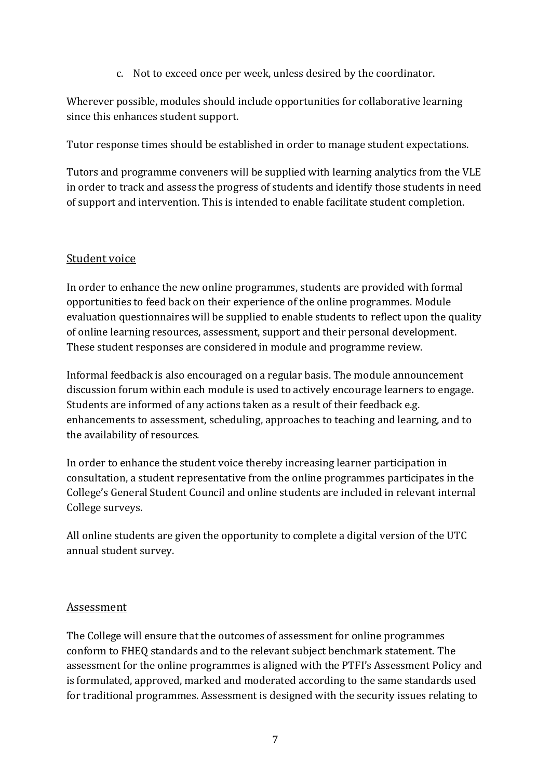c. Not to exceed once per week, unless desired by the coordinator.

Wherever possible, modules should include opportunities for collaborative learning since this enhances student support.

Tutor response times should be established in order to manage student expectations.

Tutors and programme conveners will be supplied with learning analytics from the VLE in order to track and assess the progress of students and identify those students in need of support and intervention. This is intended to enable facilitate student completion.

## Student voice

In order to enhance the new online programmes, students are provided with formal opportunities to feed back on their experience of the online programmes. Module evaluation questionnaires will be supplied to enable students to reflect upon the quality of online learning resources, assessment, support and their personal development. These student responses are considered in module and programme review.

Informal feedback is also encouraged on a regular basis. The module announcement discussion forum within each module is used to actively encourage learners to engage. Students are informed of any actions taken as a result of their feedback e.g. enhancements to assessment, scheduling, approaches to teaching and learning, and to the availability of resources.

In order to enhance the student voice thereby increasing learner participation in consultation, a student representative from the online programmes participates in the College's General Student Council and online students are included in relevant internal College surveys.

All online students are given the opportunity to complete a digital version of the UTC annual student survey.

#### Assessment

The College will ensure that the outcomes of assessment for online programmes conform to FHEQ standards and to the relevant subject benchmark statement. The assessment for the online programmes is aligned with the PTFI's Assessment Policy and is formulated, approved, marked and moderated according to the same standards used for traditional programmes. Assessment is designed with the security issues relating to